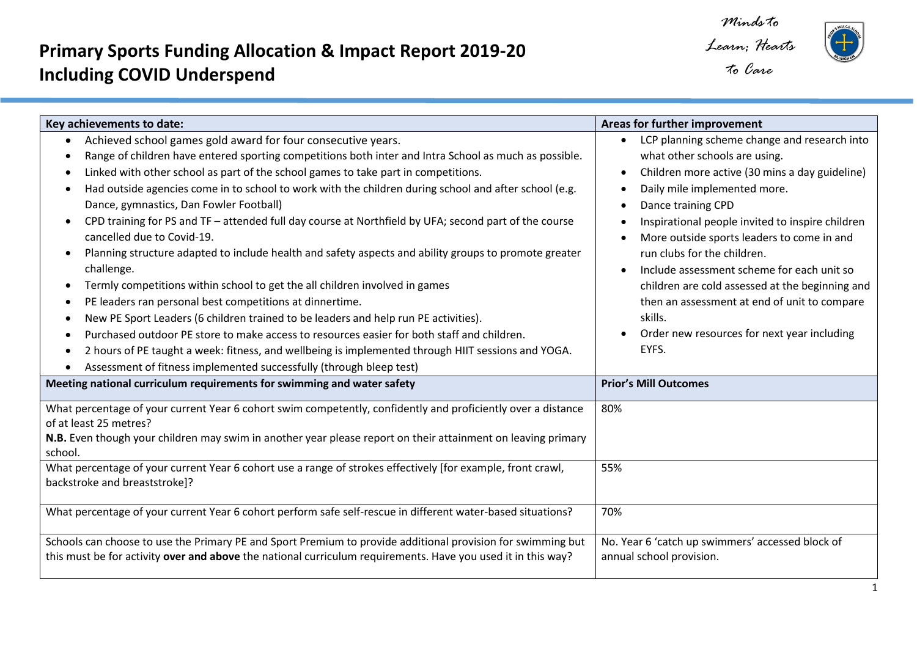## **Primary Sports Funding Allocation & Impact Report 2019-20 Including COVID Underspend**

 $\overline{a}$ 

*Minds to Learn; Hearts* 



| Key achievements to date:                                                                                                                                                                                                                                                                                                                                                                                                                                                                                                                                                                                                                                                                                                                                                                                                                                                                                                                                                                                                                                                                                                                                                                                                              | Areas for further improvement                                                                                                                                                                                                                                                                                                                                                                                                                                                                                                              |
|----------------------------------------------------------------------------------------------------------------------------------------------------------------------------------------------------------------------------------------------------------------------------------------------------------------------------------------------------------------------------------------------------------------------------------------------------------------------------------------------------------------------------------------------------------------------------------------------------------------------------------------------------------------------------------------------------------------------------------------------------------------------------------------------------------------------------------------------------------------------------------------------------------------------------------------------------------------------------------------------------------------------------------------------------------------------------------------------------------------------------------------------------------------------------------------------------------------------------------------|--------------------------------------------------------------------------------------------------------------------------------------------------------------------------------------------------------------------------------------------------------------------------------------------------------------------------------------------------------------------------------------------------------------------------------------------------------------------------------------------------------------------------------------------|
| Achieved school games gold award for four consecutive years.<br>Range of children have entered sporting competitions both inter and Intra School as much as possible.<br>Linked with other school as part of the school games to take part in competitions.<br>Had outside agencies come in to school to work with the children during school and after school (e.g.<br>$\bullet$<br>Dance, gymnastics, Dan Fowler Football)<br>CPD training for PS and TF - attended full day course at Northfield by UFA; second part of the course<br>$\bullet$<br>cancelled due to Covid-19.<br>Planning structure adapted to include health and safety aspects and ability groups to promote greater<br>٠<br>challenge.<br>Termly competitions within school to get the all children involved in games<br>PE leaders ran personal best competitions at dinnertime.<br>New PE Sport Leaders (6 children trained to be leaders and help run PE activities).<br>Purchased outdoor PE store to make access to resources easier for both staff and children.<br>$\bullet$<br>2 hours of PE taught a week: fitness, and wellbeing is implemented through HIIT sessions and YOGA.<br>Assessment of fitness implemented successfully (through bleep test) | LCP planning scheme change and research into<br>what other schools are using.<br>Children more active (30 mins a day guideline)<br>Daily mile implemented more.<br>Dance training CPD<br>Inspirational people invited to inspire children<br>More outside sports leaders to come in and<br>run clubs for the children.<br>Include assessment scheme for each unit so<br>children are cold assessed at the beginning and<br>then an assessment at end of unit to compare<br>skills.<br>Order new resources for next year including<br>EYFS. |
| Meeting national curriculum requirements for swimming and water safety                                                                                                                                                                                                                                                                                                                                                                                                                                                                                                                                                                                                                                                                                                                                                                                                                                                                                                                                                                                                                                                                                                                                                                 | <b>Prior's Mill Outcomes</b>                                                                                                                                                                                                                                                                                                                                                                                                                                                                                                               |
| What percentage of your current Year 6 cohort swim competently, confidently and proficiently over a distance<br>of at least 25 metres?<br>N.B. Even though your children may swim in another year please report on their attainment on leaving primary<br>school.                                                                                                                                                                                                                                                                                                                                                                                                                                                                                                                                                                                                                                                                                                                                                                                                                                                                                                                                                                      | 80%                                                                                                                                                                                                                                                                                                                                                                                                                                                                                                                                        |
| What percentage of your current Year 6 cohort use a range of strokes effectively [for example, front crawl,<br>backstroke and breaststroke]?                                                                                                                                                                                                                                                                                                                                                                                                                                                                                                                                                                                                                                                                                                                                                                                                                                                                                                                                                                                                                                                                                           | 55%                                                                                                                                                                                                                                                                                                                                                                                                                                                                                                                                        |
| What percentage of your current Year 6 cohort perform safe self-rescue in different water-based situations?                                                                                                                                                                                                                                                                                                                                                                                                                                                                                                                                                                                                                                                                                                                                                                                                                                                                                                                                                                                                                                                                                                                            | 70%                                                                                                                                                                                                                                                                                                                                                                                                                                                                                                                                        |
| Schools can choose to use the Primary PE and Sport Premium to provide additional provision for swimming but<br>this must be for activity over and above the national curriculum requirements. Have you used it in this way?                                                                                                                                                                                                                                                                                                                                                                                                                                                                                                                                                                                                                                                                                                                                                                                                                                                                                                                                                                                                            | No. Year 6 'catch up swimmers' accessed block of<br>annual school provision.                                                                                                                                                                                                                                                                                                                                                                                                                                                               |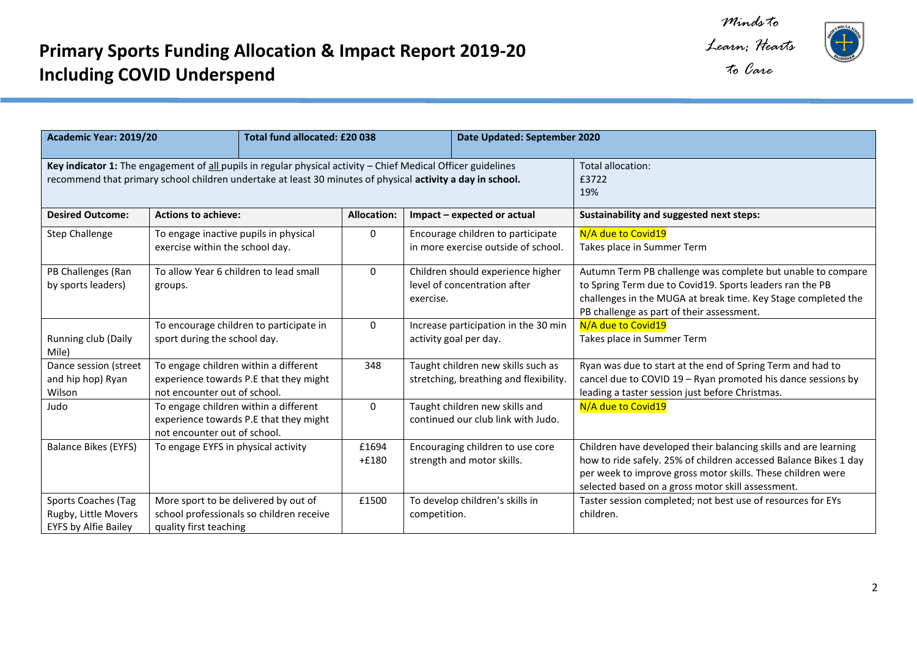*Learn; Hearts* 



| Academic Year: 2019/20                                                                                                                                                                                                      | <b>Total fund allocated: £20 038</b>                                                                            | Date Updated: September 2020 |                                                                                |                                                                                                                                                                                                                                                         |
|-----------------------------------------------------------------------------------------------------------------------------------------------------------------------------------------------------------------------------|-----------------------------------------------------------------------------------------------------------------|------------------------------|--------------------------------------------------------------------------------|---------------------------------------------------------------------------------------------------------------------------------------------------------------------------------------------------------------------------------------------------------|
|                                                                                                                                                                                                                             |                                                                                                                 |                              |                                                                                |                                                                                                                                                                                                                                                         |
| Key indicator 1: The engagement of all pupils in regular physical activity - Chief Medical Officer guidelines<br>recommend that primary school children undertake at least 30 minutes of physical activity a day in school. |                                                                                                                 |                              |                                                                                | Total allocation:<br>£3722<br>19%                                                                                                                                                                                                                       |
| <b>Desired Outcome:</b>                                                                                                                                                                                                     | <b>Actions to achieve:</b>                                                                                      | <b>Allocation:</b>           | Impact - expected or actual                                                    | Sustainability and suggested next steps:                                                                                                                                                                                                                |
| <b>Step Challenge</b>                                                                                                                                                                                                       | To engage inactive pupils in physical<br>exercise within the school day.                                        | 0                            | Encourage children to participate<br>in more exercise outside of school.       | N/A due to Covid19<br>Takes place in Summer Term                                                                                                                                                                                                        |
| PB Challenges (Ran<br>by sports leaders)                                                                                                                                                                                    | To allow Year 6 children to lead small<br>groups.                                                               | $\Omega$                     | Children should experience higher<br>level of concentration after<br>exercise. | Autumn Term PB challenge was complete but unable to compare<br>to Spring Term due to Covid19. Sports leaders ran the PB<br>challenges in the MUGA at break time. Key Stage completed the<br>PB challenge as part of their assessment.                   |
| Running club (Daily<br>Mile)                                                                                                                                                                                                | To encourage children to participate in<br>sport during the school day.                                         | $\Omega$                     | Increase participation in the 30 min<br>activity goal per day.                 | N/A due to Covid19<br>Takes place in Summer Term                                                                                                                                                                                                        |
| Dance session (street<br>and hip hop) Ryan<br>Wilson                                                                                                                                                                        | To engage children within a different<br>experience towards P.E that they might<br>not encounter out of school. | 348                          | Taught children new skills such as<br>stretching, breathing and flexibility.   | Ryan was due to start at the end of Spring Term and had to<br>cancel due to COVID 19 - Ryan promoted his dance sessions by<br>leading a taster session just before Christmas.                                                                           |
| Judo                                                                                                                                                                                                                        | To engage children within a different<br>experience towards P.E that they might<br>not encounter out of school. | 0                            | Taught children new skills and<br>continued our club link with Judo.           | N/A due to Covid19                                                                                                                                                                                                                                      |
| <b>Balance Bikes (EYFS)</b>                                                                                                                                                                                                 | To engage EYFS in physical activity                                                                             | £1694<br>$+£180$             | Encouraging children to use core<br>strength and motor skills.                 | Children have developed their balancing skills and are learning<br>how to ride safely. 25% of children accessed Balance Bikes 1 day<br>per week to improve gross motor skills. These children were<br>selected based on a gross motor skill assessment. |
| <b>Sports Coaches (Tag</b><br>Rugby, Little Movers<br>EYFS by Alfie Bailey                                                                                                                                                  | More sport to be delivered by out of<br>school professionals so children receive<br>quality first teaching      | £1500                        | To develop children's skills in<br>competition.                                | Taster session completed; not best use of resources for EYs<br>children.                                                                                                                                                                                |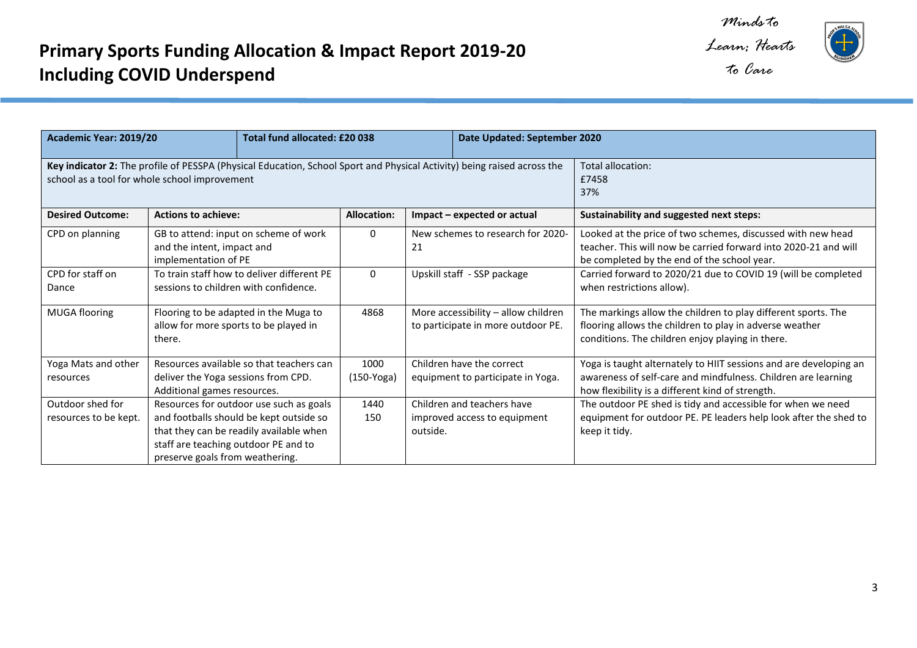*Learn; Hearts* 



| Academic Year: 2019/20<br>Total fund allocated: £20 038                                                                                                                  |                                                                                          |                                                                                                                               |                      | Date Updated: September 2020                                              |                                                                |                                                                                                                                                                                        |
|--------------------------------------------------------------------------------------------------------------------------------------------------------------------------|------------------------------------------------------------------------------------------|-------------------------------------------------------------------------------------------------------------------------------|----------------------|---------------------------------------------------------------------------|----------------------------------------------------------------|----------------------------------------------------------------------------------------------------------------------------------------------------------------------------------------|
| Key indicator 2: The profile of PESSPA (Physical Education, School Sport and Physical Activity) being raised across the<br>school as a tool for whole school improvement |                                                                                          |                                                                                                                               |                      |                                                                           |                                                                | Total allocation:<br>£7458<br>37%                                                                                                                                                      |
| <b>Desired Outcome:</b>                                                                                                                                                  | <b>Actions to achieve:</b>                                                               |                                                                                                                               | <b>Allocation:</b>   | Impact - expected or actual                                               |                                                                | <b>Sustainability and suggested next steps:</b>                                                                                                                                        |
| CPD on planning                                                                                                                                                          | implementation of PE                                                                     | $\Omega$<br>GB to attend: input on scheme of work<br>and the intent, impact and<br>21                                         |                      |                                                                           | New schemes to research for 2020-                              | Looked at the price of two schemes, discussed with new head<br>teacher. This will now be carried forward into 2020-21 and will<br>be completed by the end of the school year.          |
| CPD for staff on<br>Dance                                                                                                                                                | sessions to children with confidence.                                                    | To train staff how to deliver different PE                                                                                    | 0                    | Upskill staff - SSP package                                               |                                                                | Carried forward to 2020/21 due to COVID 19 (will be completed<br>when restrictions allow).                                                                                             |
| <b>MUGA flooring</b>                                                                                                                                                     | Flooring to be adapted in the Muga to<br>allow for more sports to be played in<br>there. |                                                                                                                               | 4868                 | More accessibility - allow children<br>to participate in more outdoor PE. |                                                                | The markings allow the children to play different sports. The<br>flooring allows the children to play in adverse weather<br>conditions. The children enjoy playing in there.           |
| Yoga Mats and other<br>resources                                                                                                                                         | deliver the Yoga sessions from CPD.<br>Additional games resources.                       | Resources available so that teachers can                                                                                      | 1000<br>$(150-Yoga)$ |                                                                           | Children have the correct<br>equipment to participate in Yoga. | Yoga is taught alternately to HIIT sessions and are developing an<br>awareness of self-care and mindfulness. Children are learning<br>how flexibility is a different kind of strength. |
| Outdoor shed for<br>resources to be kept.                                                                                                                                | staff are teaching outdoor PE and to<br>preserve goals from weathering.                  | Resources for outdoor use such as goals<br>and footballs should be kept outside so<br>that they can be readily available when | 1440<br>150          | outside.                                                                  | Children and teachers have<br>improved access to equipment     | The outdoor PE shed is tidy and accessible for when we need<br>equipment for outdoor PE. PE leaders help look after the shed to<br>keep it tidy.                                       |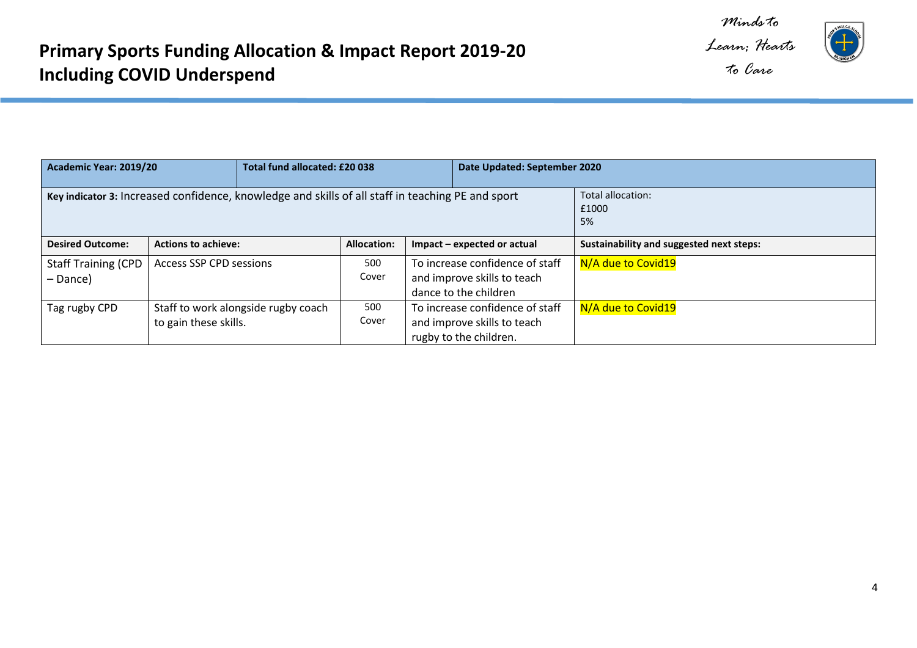*Minds to Learn; Hearts* 



| Academic Year: 2019/20                                                                            |                                                              | Total fund allocated: £20 038 |  | Date Updated: September 2020                                                             |                                          |
|---------------------------------------------------------------------------------------------------|--------------------------------------------------------------|-------------------------------|--|------------------------------------------------------------------------------------------|------------------------------------------|
| Key indicator 3: Increased confidence, knowledge and skills of all staff in teaching PE and sport |                                                              |                               |  | Total allocation:<br>£1000<br>5%                                                         |                                          |
| <b>Desired Outcome:</b>                                                                           | <b>Actions to achieve:</b>                                   | <b>Allocation:</b>            |  | Impact – expected or actual                                                              | Sustainability and suggested next steps: |
| <b>Staff Training (CPD</b><br>– Dance)                                                            | <b>Access SSP CPD sessions</b>                               | 500<br>Cover                  |  | To increase confidence of staff<br>and improve skills to teach<br>dance to the children  | N/A due to Covid19                       |
| Tag rugby CPD                                                                                     | Staff to work alongside rugby coach<br>to gain these skills. | 500<br>Cover                  |  | To increase confidence of staff<br>and improve skills to teach<br>rugby to the children. | N/A due to Covid19                       |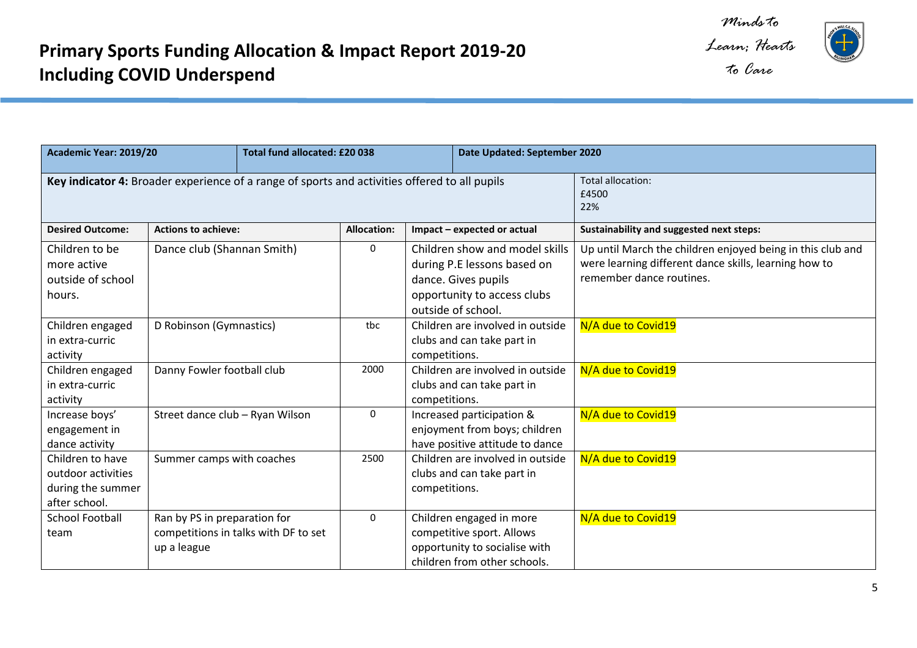

*Learn; Hearts* 



| Academic Year: 2019/20                                                                        |                                             | Total fund allocated: £20 038        |                    |                                                                                                                                           | Date Updated: September 2020 |                                                                                                                                                 |
|-----------------------------------------------------------------------------------------------|---------------------------------------------|--------------------------------------|--------------------|-------------------------------------------------------------------------------------------------------------------------------------------|------------------------------|-------------------------------------------------------------------------------------------------------------------------------------------------|
| Key indicator 4: Broader experience of a range of sports and activities offered to all pupils |                                             |                                      |                    |                                                                                                                                           |                              | Total allocation:<br>£4500<br>22%                                                                                                               |
| <b>Desired Outcome:</b>                                                                       | <b>Actions to achieve:</b>                  |                                      | <b>Allocation:</b> |                                                                                                                                           | Impact - expected or actual  | Sustainability and suggested next steps:                                                                                                        |
| Children to be<br>more active<br>outside of school<br>hours.                                  | Dance club (Shannan Smith)                  |                                      | $\mathbf{0}$       | Children show and model skills<br>during P.E lessons based on<br>dance. Gives pupils<br>opportunity to access clubs<br>outside of school. |                              | Up until March the children enjoyed being in this club and<br>were learning different dance skills, learning how to<br>remember dance routines. |
| Children engaged<br>in extra-curric<br>activity                                               | D Robinson (Gymnastics)                     |                                      | tbc                | Children are involved in outside<br>clubs and can take part in<br>competitions.                                                           |                              | N/A due to Covid19                                                                                                                              |
| Children engaged<br>in extra-curric<br>activity                                               | Danny Fowler football club                  |                                      | 2000               | Children are involved in outside<br>clubs and can take part in<br>competitions.                                                           |                              | N/A due to Covid19                                                                                                                              |
| Increase boys'<br>engagement in<br>dance activity                                             | Street dance club - Ryan Wilson             |                                      | $\mathbf{0}$       | Increased participation &<br>enjoyment from boys; children<br>have positive attitude to dance                                             |                              | N/A due to Covid19                                                                                                                              |
| Children to have<br>outdoor activities<br>during the summer<br>after school.                  | Summer camps with coaches                   |                                      | 2500               | Children are involved in outside<br>clubs and can take part in<br>competitions.                                                           |                              | N/A due to Covid19                                                                                                                              |
| <b>School Football</b><br>team                                                                | Ran by PS in preparation for<br>up a league | competitions in talks with DF to set | $\mathbf{0}$       | Children engaged in more<br>competitive sport. Allows<br>opportunity to socialise with<br>children from other schools.                    |                              | N/A due to Covid19                                                                                                                              |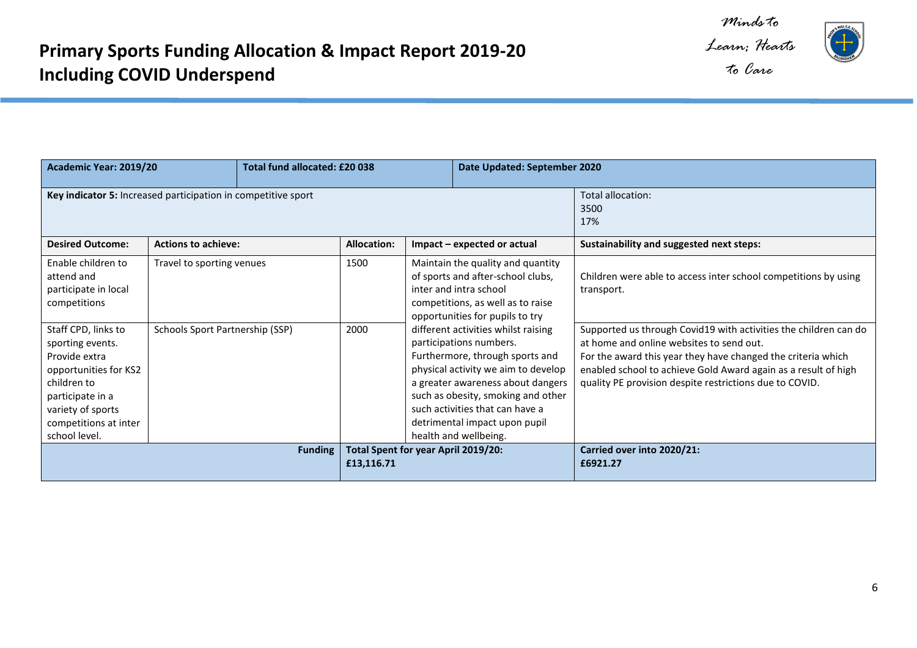*Minds to Learn; Hearts* 

 $\pm$ 

*to Care*

| Academic Year: 2019/20                                                                                                                                                              |                                 | Total fund allocated: £20 038 |                                        |                                                                                                                                                                                                                                                                                                                  | Date Updated: September 2020 |                                                                                                                                                                                                                                                                                                           |
|-------------------------------------------------------------------------------------------------------------------------------------------------------------------------------------|---------------------------------|-------------------------------|----------------------------------------|------------------------------------------------------------------------------------------------------------------------------------------------------------------------------------------------------------------------------------------------------------------------------------------------------------------|------------------------------|-----------------------------------------------------------------------------------------------------------------------------------------------------------------------------------------------------------------------------------------------------------------------------------------------------------|
| Key indicator 5: Increased participation in competitive sport                                                                                                                       |                                 |                               |                                        |                                                                                                                                                                                                                                                                                                                  |                              | Total allocation:<br>3500<br>17%                                                                                                                                                                                                                                                                          |
| <b>Desired Outcome:</b>                                                                                                                                                             | <b>Actions to achieve:</b>      |                               | <b>Allocation:</b>                     |                                                                                                                                                                                                                                                                                                                  | Impact – expected or actual  | Sustainability and suggested next steps:                                                                                                                                                                                                                                                                  |
| Enable children to<br>attend and<br>participate in local<br>competitions                                                                                                            | Travel to sporting venues       |                               | 1500                                   | Maintain the quality and quantity<br>of sports and after-school clubs,<br>inter and intra school<br>competitions, as well as to raise<br>opportunities for pupils to try                                                                                                                                         |                              | Children were able to access inter school competitions by using<br>transport.                                                                                                                                                                                                                             |
| Staff CPD, links to<br>sporting events.<br>Provide extra<br>opportunities for KS2<br>children to<br>participate in a<br>variety of sports<br>competitions at inter<br>school level. | Schools Sport Partnership (SSP) |                               | 2000                                   | different activities whilst raising<br>participations numbers.<br>Furthermore, through sports and<br>physical activity we aim to develop<br>a greater awareness about dangers<br>such as obesity, smoking and other<br>such activities that can have a<br>detrimental impact upon pupil<br>health and wellbeing. |                              | Supported us through Covid19 with activities the children can do<br>at home and online websites to send out.<br>For the award this year they have changed the criteria which<br>enabled school to achieve Gold Award again as a result of high<br>quality PE provision despite restrictions due to COVID. |
| Total Spent for year April 2019/20:<br><b>Funding</b><br>£13,116.71                                                                                                                 |                                 |                               | Carried over into 2020/21:<br>£6921.27 |                                                                                                                                                                                                                                                                                                                  |                              |                                                                                                                                                                                                                                                                                                           |